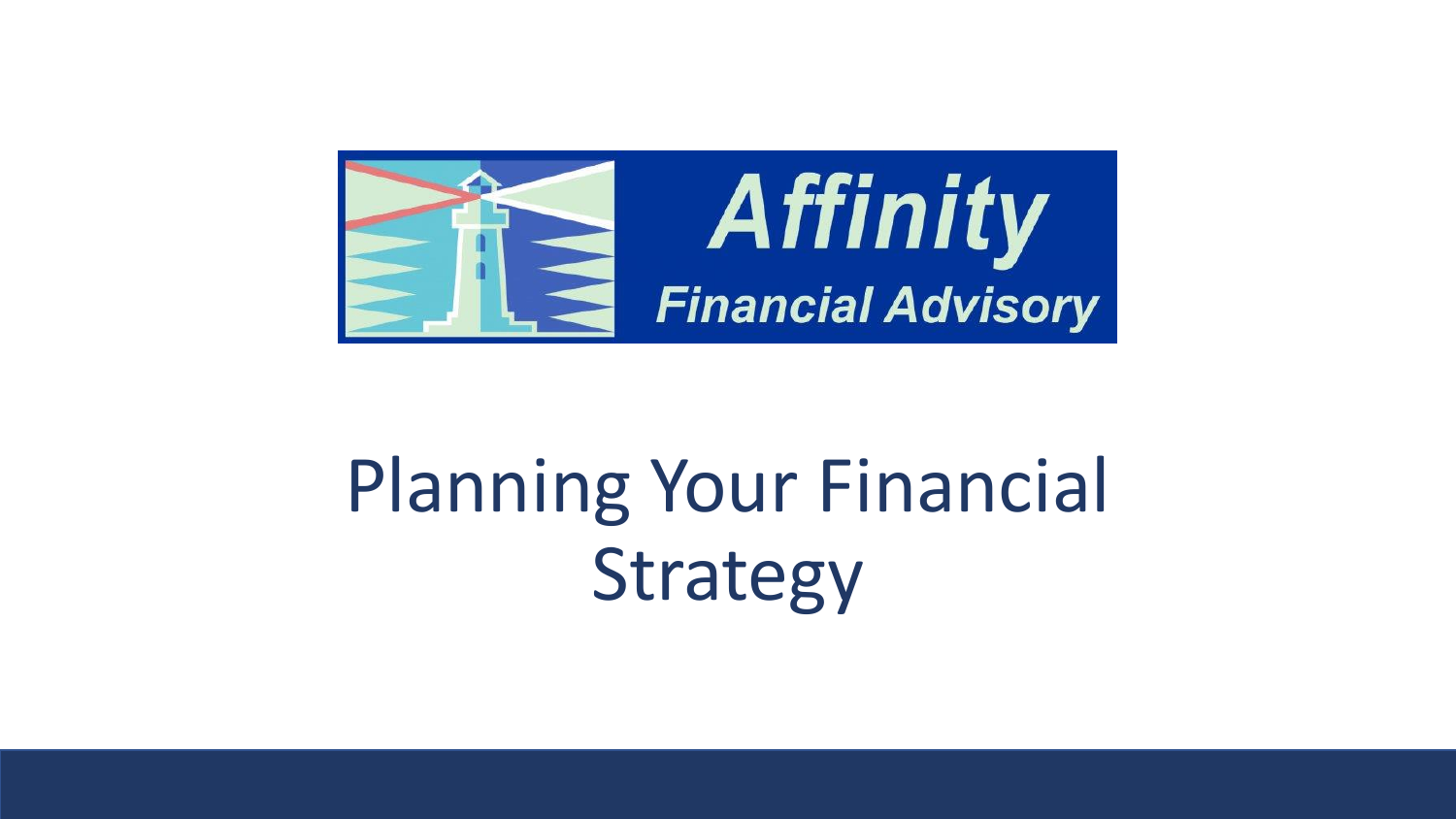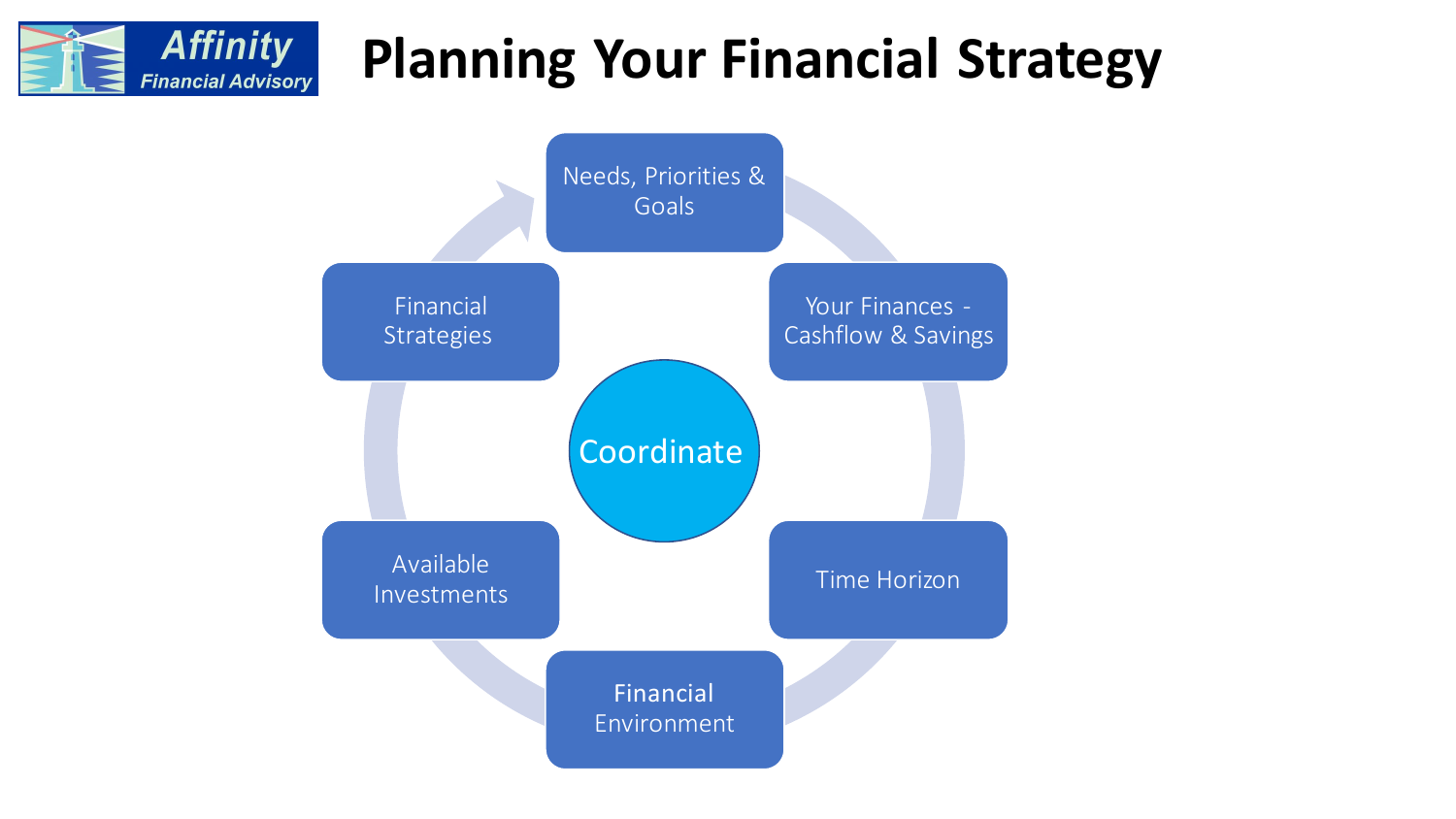#### **Affinity Planning Your Financial StrategyFinancial Advisory**

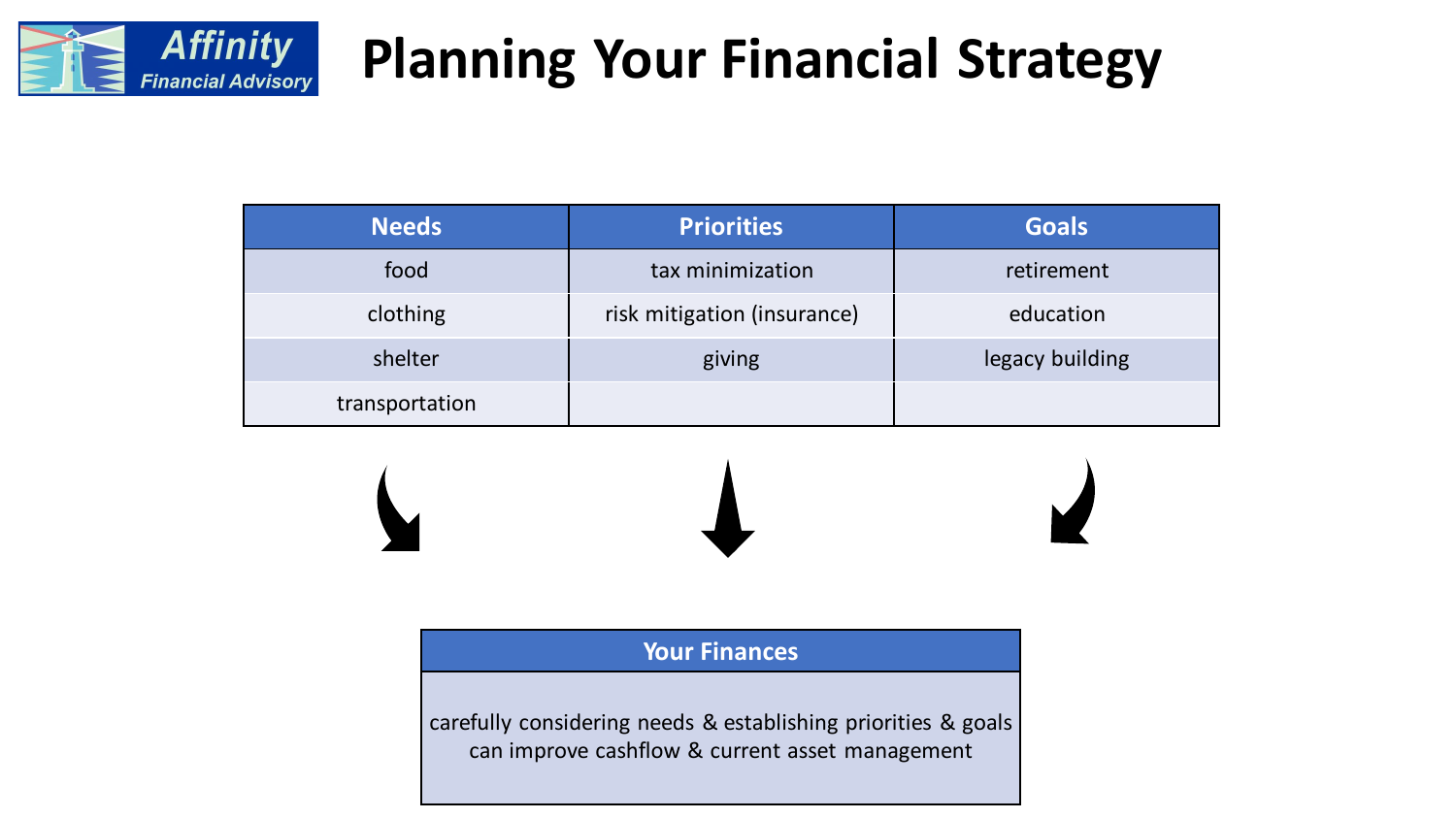

| <b>Needs</b>   | <b>Priorities</b>           | <b>Goals</b>    |
|----------------|-----------------------------|-----------------|
| food           | tax minimization            | retirement      |
| clothing       | risk mitigation (insurance) | education       |
| shelter        | giving                      | legacy building |
| transportation |                             |                 |



**Your Finances**

carefully considering needs & establishing priorities & goals can improve cashflow & current asset management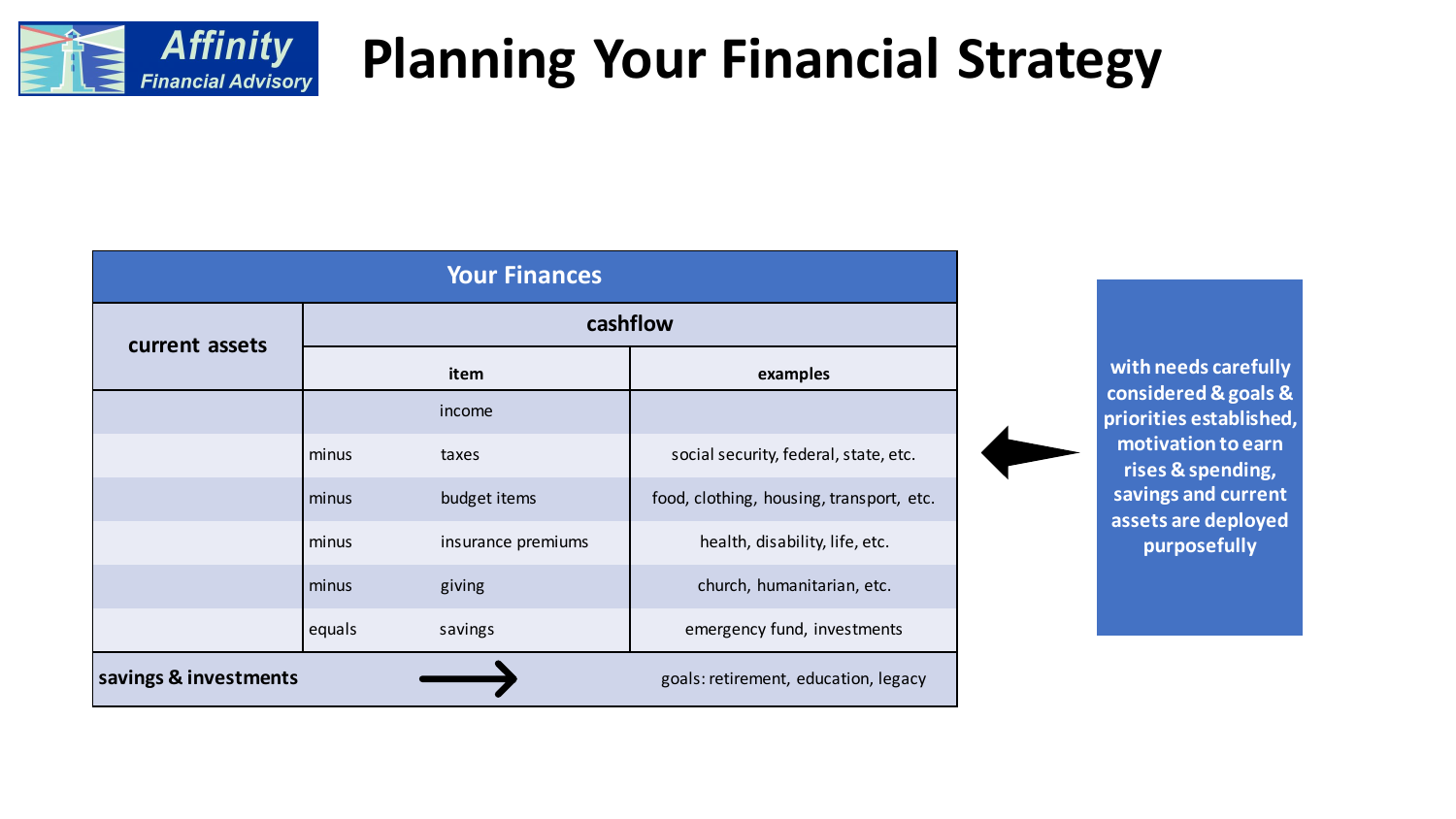

| <b>Your Finances</b>                                          |          |                    |                                          |
|---------------------------------------------------------------|----------|--------------------|------------------------------------------|
| current assets                                                | cashflow |                    |                                          |
|                                                               |          | item               | examples                                 |
|                                                               |          | income             |                                          |
|                                                               | minus    | taxes              | social security, federal, state, etc.    |
|                                                               | minus    | budget items       | food, clothing, housing, transport, etc. |
|                                                               | minus    | insurance premiums | health, disability, life, etc.           |
|                                                               | minus    | giving             | church, humanitarian, etc.               |
|                                                               | equals   | savings            | emergency fund, investments              |
| savings & investments<br>goals: retirement, education, legacy |          |                    |                                          |

**with needs carefully considered & goals & priorities established, motivation to earn rises & spending, savings and current assets are deployed purposefully**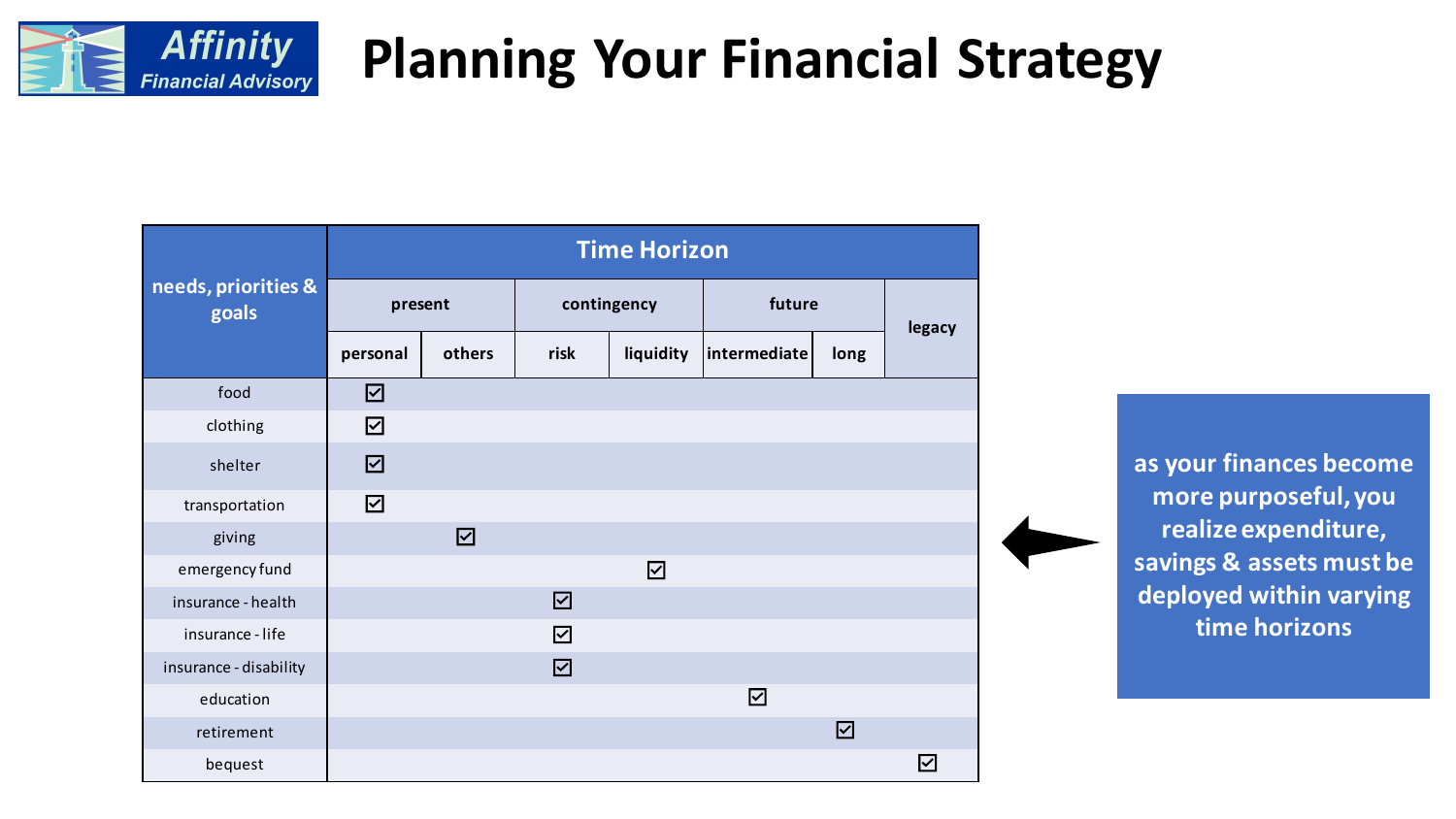

|                              | <b>Time Horizon</b> |             |                      |                  |                      |      |        |
|------------------------------|---------------------|-------------|----------------------|------------------|----------------------|------|--------|
| needs, priorities &<br>goals | present             |             | contingency          |                  | future               |      | legacy |
|                              | personal            | others      | risk                 | liquidity        | $ $ intermediate $ $ | long |        |
| food                         | $\boxtimes$         |             |                      |                  |                      |      |        |
| clothing                     | ☑                   |             |                      |                  |                      |      |        |
| shelter                      | $\boxtimes$         |             |                      |                  |                      |      |        |
| transportation               | ☑                   |             |                      |                  |                      |      |        |
| giving                       |                     | $\boxtimes$ |                      |                  |                      |      |        |
| emergency fund               |                     |             |                      | $\triangleright$ |                      |      |        |
| insurance - health           |                     |             | $\boxdot$            |                  |                      |      |        |
| insurance - life             |                     |             | $\blacktriangledown$ |                  |                      |      |        |
| insurance - disability       |                     |             | $\boxtimes$          |                  |                      |      |        |
| education                    |                     |             |                      |                  | $\boxtimes$          |      |        |
| retirement                   |                     |             |                      |                  |                      | ☑    |        |
| bequest                      |                     |             |                      |                  |                      |      | ☑      |

**as your finances become more purposeful, you realize expenditure, savings & assets must be deployed within varying time horizons**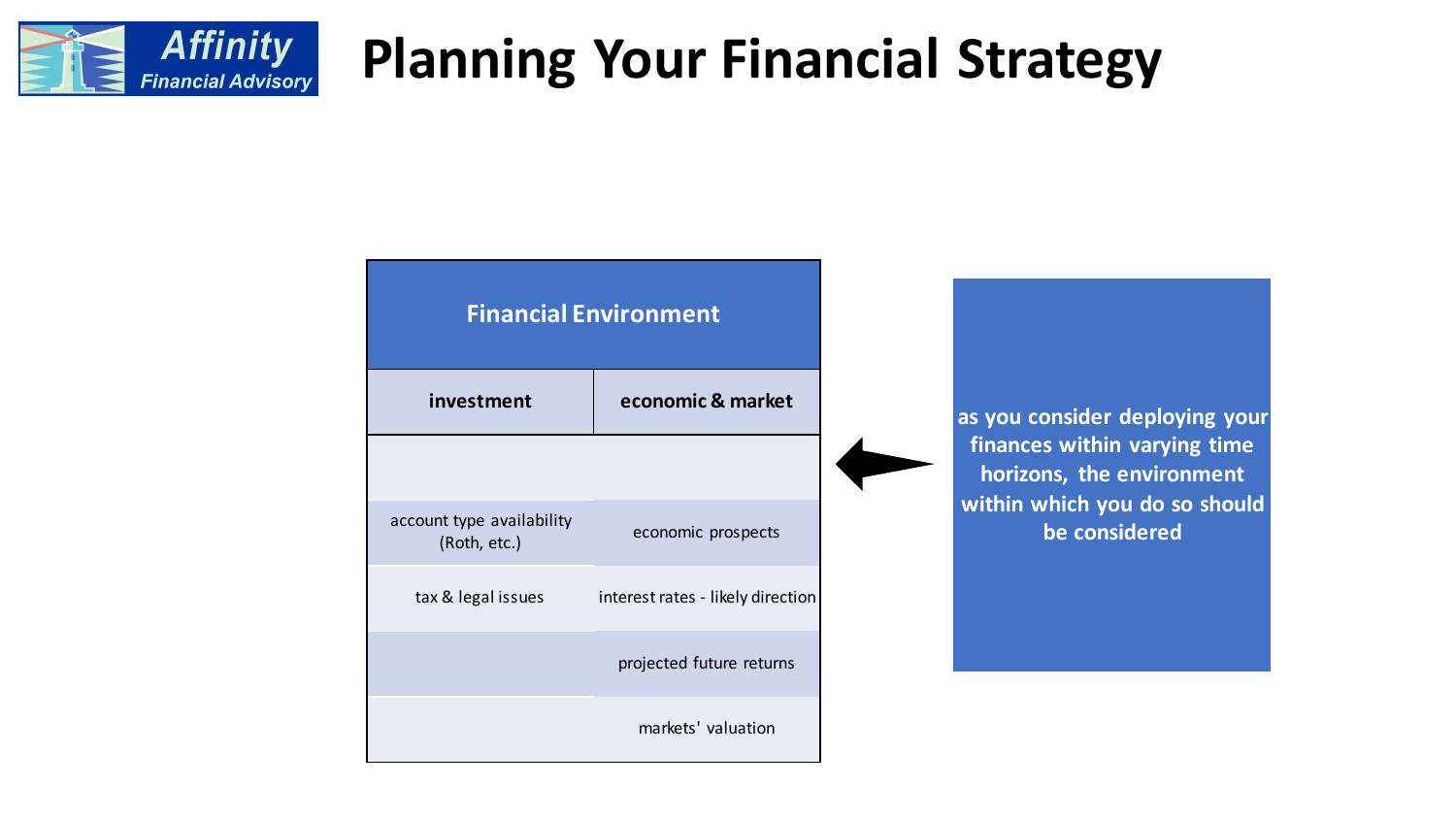

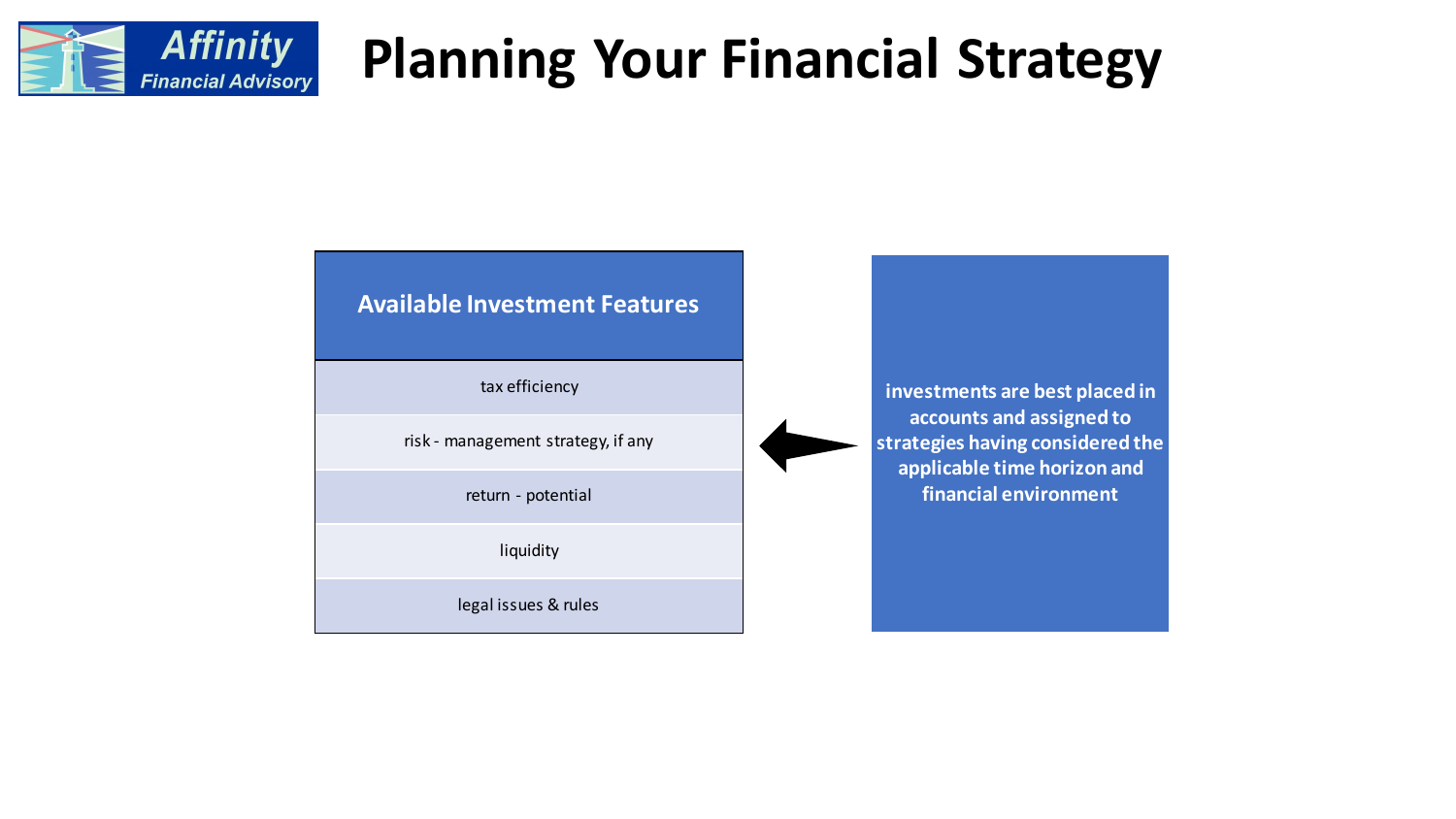

#### **Available Investment Features**

tax efficiency

risk - management strategy, if any

return - potential

liquidity

legal issues & rules

**investments are best placed in accounts and assigned to strategies having considered the applicable time horizon and financial environment**